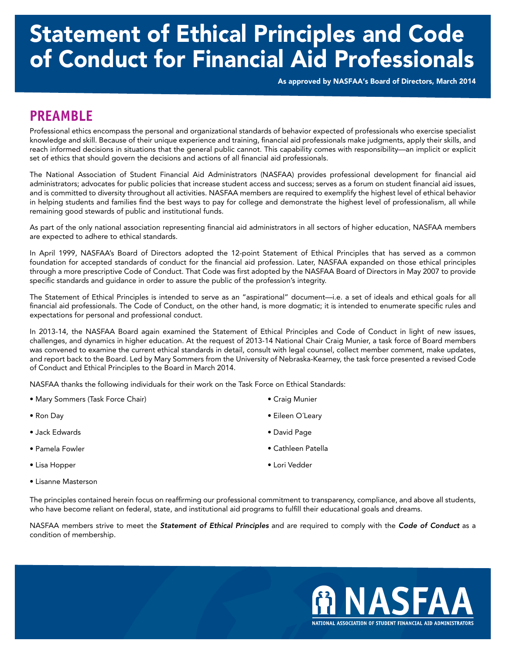# Statement of Ethical Principles and Code of Conduct for Financial Aid Professionals

As approved by NASFAA's Board of Directors, March 2014

### **PREAMBLE**

Professional ethics encompass the personal and organizational standards of behavior expected of professionals who exercise specialist knowledge and skill. Because of their unique experience and training, fnancial aid professionals make judgments, apply their skills, and reach informed decisions in situations that the general public cannot. This capability comes with responsibility—an implicit or explicit set of ethics that should govern the decisions and actions of all fnancial aid professionals.

The National Association of Student Financial Aid Administrators (NASFAA) provides professional development for fnancial aid administrators; advocates for public policies that increase student access and success; serves as a forum on student fnancial aid issues, and is committed to diversity throughout all activities. NASFAA members are required to exemplify the highest level of ethical behavior in helping students and families fnd the best ways to pay for college and demonstrate the highest level of professionalism, all while remaining good stewards of public and institutional funds.

As part of the only national association representing fnancial aid administrators in all sectors of higher education, NASFAA members are expected to adhere to ethical standards.

In April 1999, NASFAA's Board of Directors adopted the 12-point Statement of Ethical Principles that has served as a common foundation for accepted standards of conduct for the fnancial aid profession. Later, NASFAA expanded on those ethical principles through a more prescriptive Code of Conduct. That Code was frst adopted by the NASFAA Board of Directors in May 2007 to provide specifc standards and guidance in order to assure the public of the profession's integrity.

The Statement of Ethical Principles is intended to serve as an "aspirational" document—i.e. a set of ideals and ethical goals for all financial aid professionals. The Code of Conduct, on the other hand, is more dogmatic; it is intended to enumerate specific rules and expectations for personal and professional conduct.

In 2013-14, the NASFAA Board again examined the Statement of Ethical Principles and Code of Conduct in light of new issues, challenges, and dynamics in higher education. At the request of 2013-14 National Chair Craig Munier, a task force of Board members was convened to examine the current ethical standards in detail, consult with legal counsel, collect member comment, make updates, and report back to the Board. Led by Mary Sommers from the University of Nebraska-Kearney, the task force presented a revised Code of Conduct and Ethical Principles to the Board in March 2014.

NASFAA thanks the following individuals for their work on the Task Force on Ethical Standards:

- Mary Sommers (Task Force Chair) Craig Munier
- 
- Jack Edwards David Page
- 
- Lisa Hopper Lori Vedder
- Lisanne Masterson
- 
- Ron Day Eileen O´Leary
	-
- Pamela Fowler Cathleen Patella
	-
- The principles contained herein focus on reaffrming our professional commitment to transparency, compliance, and above all students, who have become reliant on federal, state, and institutional aid programs to fulfll their educational goals and dreams.

NASFAA members strive to meet the *Statement of Ethical Principles* and are required to comply with the *Code of Conduct* as a condition of membership.

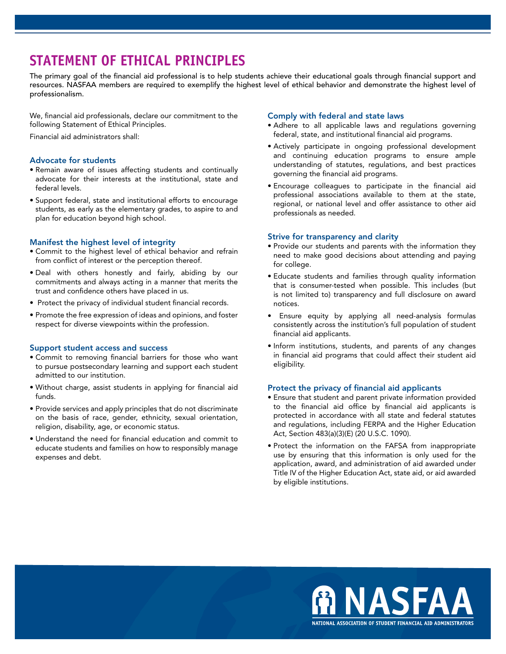## **STATEMENT OF ETHICAL PRINCIPLES**

The primary goal of the fnancial aid professional is to help students achieve their educational goals through fnancial support and resources. NASFAA members are required to exemplify the highest level of ethical behavior and demonstrate the highest level of professionalism.

We, fnancial aid professionals, declare our commitment to the following Statement of Ethical Principles.

Financial aid administrators shall:

#### Advocate for students

- Remain aware of issues affecting students and continually advocate for their interests at the institutional, state and federal levels.
- Support federal, state and institutional efforts to encourage students, as early as the elementary grades, to aspire to and plan for education beyond high school.

#### Manifest the highest level of integrity

- Commit to the highest level of ethical behavior and refrain from confict of interest or the perception thereof.
- Deal with others honestly and fairly, abiding by our commitments and always acting in a manner that merits the trust and confdence others have placed in us.
- Protect the privacy of individual student fnancial records.
- Promote the free expression of ideas and opinions, and foster respect for diverse viewpoints within the profession.

#### Support student access and success

- Commit to removing fnancial barriers for those who want to pursue postsecondary learning and support each student admitted to our institution.
- Without charge, assist students in applying for fnancial aid funds.
- Provide services and apply principles that do not discriminate on the basis of race, gender, ethnicity, sexual orientation, religion, disability, age, or economic status.
- Understand the need for fnancial education and commit to educate students and families on how to responsibly manage expenses and debt.

#### Comply with federal and state laws

- Adhere to all applicable laws and regulations governing federal, state, and institutional financial aid programs.
- Actively participate in ongoing professional development and continuing education programs to ensure ample understanding of statutes, regulations, and best practices governing the fnancial aid programs.
- Encourage colleagues to participate in the fnancial aid professional associations available to them at the state, regional, or national level and offer assistance to other aid professionals as needed.

#### Strive for transparency and clarity

- Provide our students and parents with the information they need to make good decisions about attending and paying for college.
- Educate students and families through quality information that is consumer-tested when possible. This includes (but is not limited to) transparency and full disclosure on award notices.
- Ensure equity by applying all need-analysis formulas consistently across the institution's full population of student fnancial aid applicants.
- Inform institutions, students, and parents of any changes in financial aid programs that could affect their student aid eligibility.

#### Protect the privacy of financial aid applicants

- Ensure that student and parent private information provided to the financial aid office by financial aid applicants is protected in accordance with all state and federal statutes and regulations, including FERPA and the Higher Education Act, Section 483(a)(3)(E) (20 U.S.C. 1090).
- Protect the information on the FAFSA from inappropriate use by ensuring that this information is only used for the application, award, and administration of aid awarded under Title IV of the Higher Education Act, state aid, or aid awarded by eligible institutions.